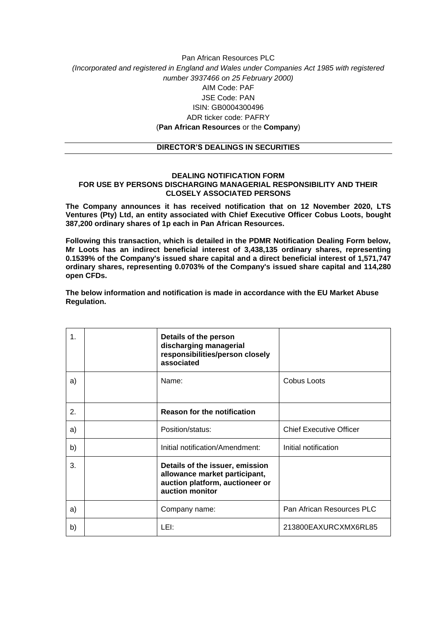### Pan African Resources PLC *(Incorporated and registered in England and Wales under Companies Act 1985 with registered number 3937466 on 25 February 2000)* AIM Code: PAF JSE Code: PAN ISIN: GB0004300496 ADR ticker code: PAFRY (**Pan African Resources** or the **Company**)

#### **DIRECTOR'S DEALINGS IN SECURITIES**

#### **DEALING NOTIFICATION FORM FOR USE BY PERSONS DISCHARGING MANAGERIAL RESPONSIBILITY AND THEIR CLOSELY ASSOCIATED PERSONS**

**The Company announces it has received notification that on 12 November 2020, LTS Ventures (Pty) Ltd, an entity associated with Chief Executive Officer Cobus Loots, bought 387,200 ordinary shares of 1p each in Pan African Resources.**

**Following this transaction, which is detailed in the PDMR Notification Dealing Form below, Mr Loots has an indirect beneficial interest of 3,438,135 ordinary shares, representing 0.1539% of the Company's issued share capital and a direct beneficial interest of 1,571,747 ordinary shares, representing 0.0703% of the Company's issued share capital and 114,280 open CFDs.**

**The below information and notification is made in accordance with the EU Market Abuse Regulation.**

| 1. | Details of the person<br>discharging managerial<br>responsibilities/person closely<br>associated                       |                                |
|----|------------------------------------------------------------------------------------------------------------------------|--------------------------------|
| a) | Name:                                                                                                                  | Cobus Loots                    |
| 2. | <b>Reason for the notification</b>                                                                                     |                                |
| a) | Position/status:                                                                                                       | <b>Chief Executive Officer</b> |
| b) | Initial notification/Amendment:                                                                                        | Initial notification           |
| 3. | Details of the issuer, emission<br>allowance market participant,<br>auction platform, auctioneer or<br>auction monitor |                                |
| a) | Company name:                                                                                                          | Pan African Resources PLC      |
| b) | LEI:                                                                                                                   | 213800EAXURCXMX6RL85           |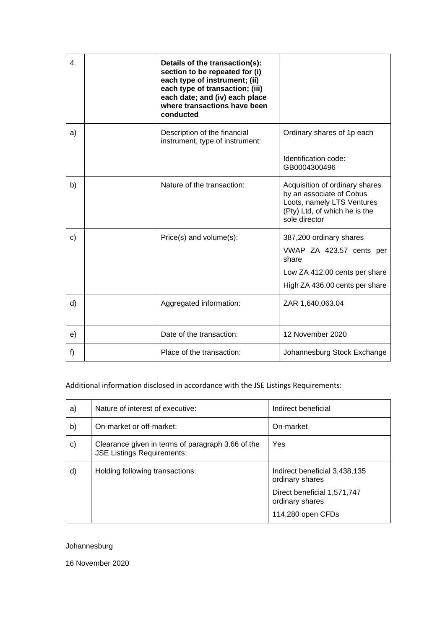| $\mathbf{4}$ . | Details of the transaction(s):<br>section to be repeated for (i)<br>each type of instrument; (ii)<br>each type of transaction; (iii)<br>each date; and (iv) each place<br>where transactions have been<br>conducted |                                                                                                                                            |
|----------------|---------------------------------------------------------------------------------------------------------------------------------------------------------------------------------------------------------------------|--------------------------------------------------------------------------------------------------------------------------------------------|
| a)             | Description of the financial<br>instrument, type of instrument:                                                                                                                                                     | Ordinary shares of 1p each<br>Identification code:<br>GB0004300496                                                                         |
| b)             | Nature of the transaction:                                                                                                                                                                                          | Acquisition of ordinary shares<br>by an associate of Cobus<br>Loots, namely LTS Ventures<br>(Pty) Ltd, of which he is the<br>sole director |
| C)             | Price(s) and volume(s):                                                                                                                                                                                             | 387,200 ordinary shares<br>VWAP ZA 423.57 cents per<br>share<br>Low ZA 412.00 cents per share<br>High ZA 436.00 cents per share            |
| d)             | Aggregated information:                                                                                                                                                                                             | ZAR 1,640,063.04                                                                                                                           |
| e)             | Date of the transaction:                                                                                                                                                                                            | 12 November 2020                                                                                                                           |
| f)             | Place of the transaction:                                                                                                                                                                                           | Johannesburg Stock Exchange                                                                                                                |

# Additional information disclosed in accordance with the JSE Listings Requirements:

| a) | Nature of interest of executive:                                                       | Indirect beneficial                              |
|----|----------------------------------------------------------------------------------------|--------------------------------------------------|
| b) | On-market or off-market:                                                               | On-market                                        |
| C) | Clearance given in terms of paragraph 3.66 of the<br><b>JSE Listings Requirements:</b> | Yes                                              |
| d) | Holding following transactions:                                                        | Indirect beneficial 3,438,135<br>ordinary shares |
|    |                                                                                        | Direct beneficial 1,571,747<br>ordinary shares   |
|    |                                                                                        | 114,280 open CFDs                                |

## Johannesburg

16 November 2020